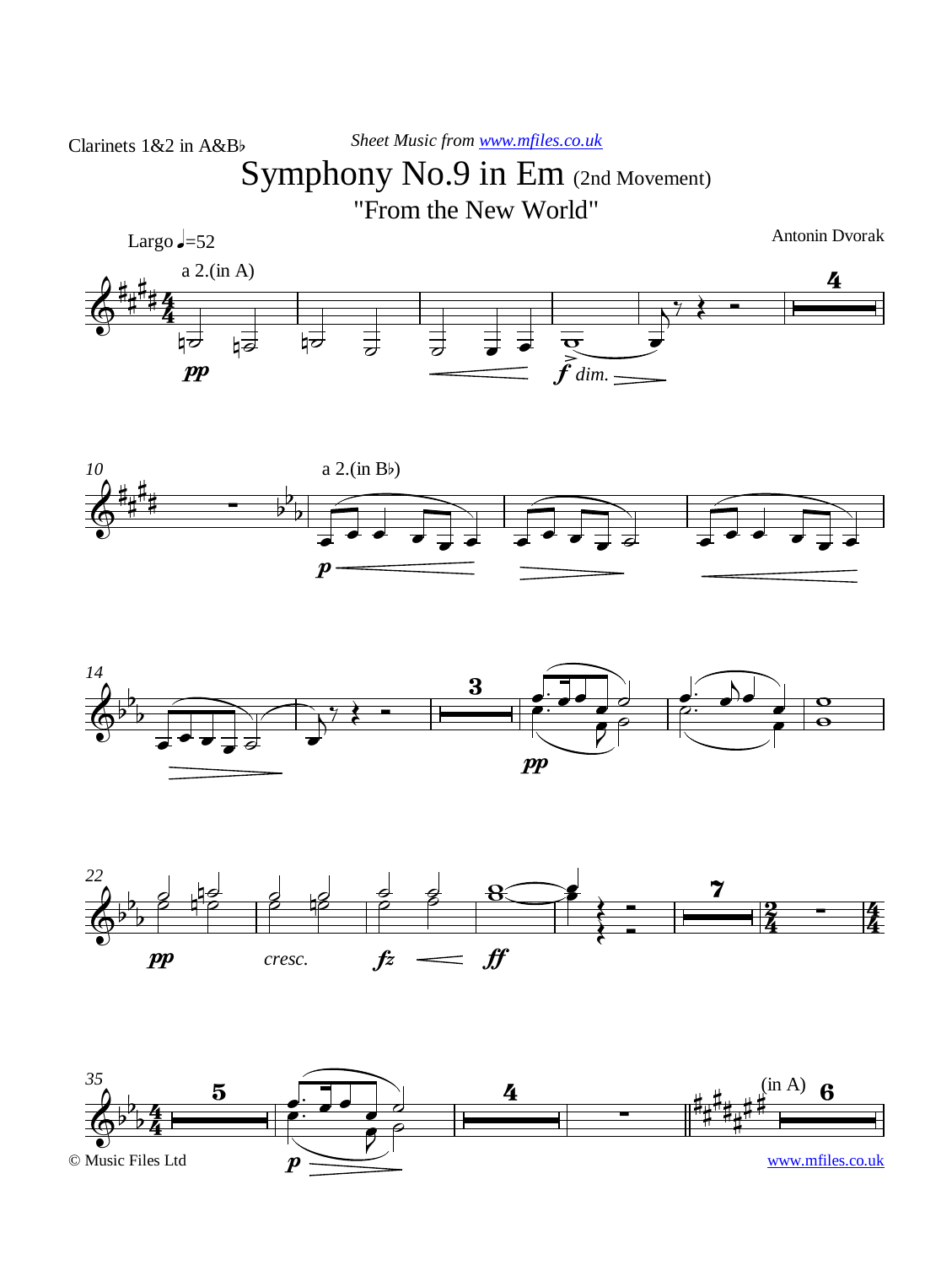## Symphony No.9 in Em (2nd Movement)

"From the New World"









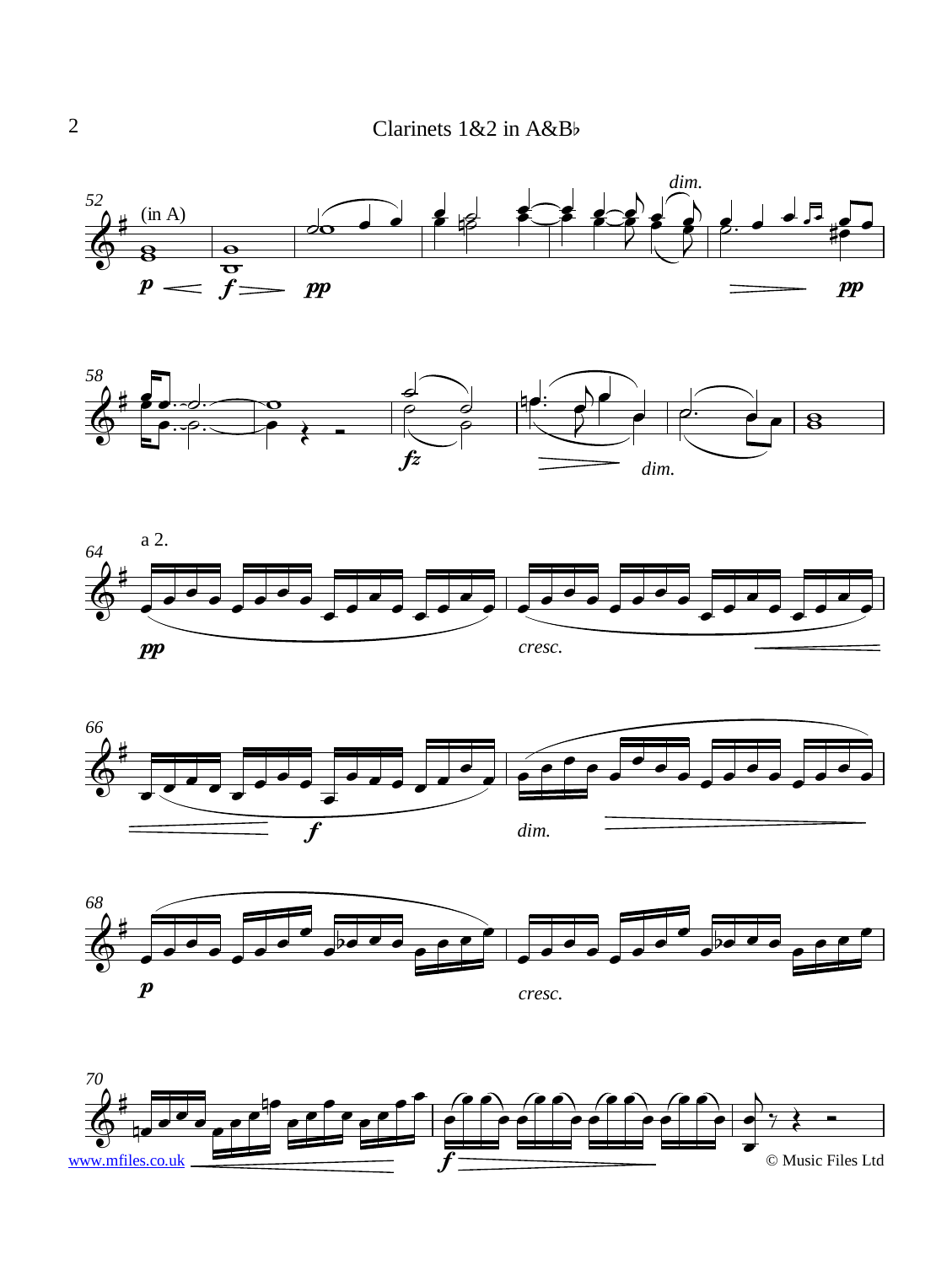